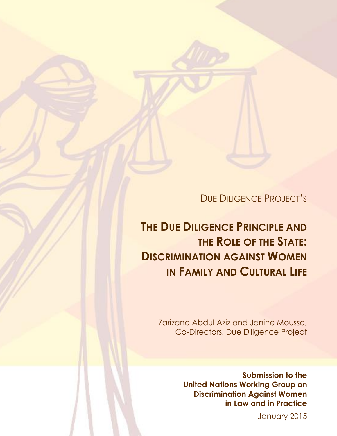DUE DILIGENCE PROJECT'S

# **THE DUE DILIGENCE PRINCIPLE AND THE ROLE OF THE STATE: DISCRIMINATION AGAINST WOMEN IN FAMILY AND CULTURAL LIFE**

 Zarizana Abdul Aziz and Janine Moussa, Co-Directors, Due Diligence Project

> **Submission to the United Nations Working Group on Discrimination Against Women in Law and in Practice**

> > January 2015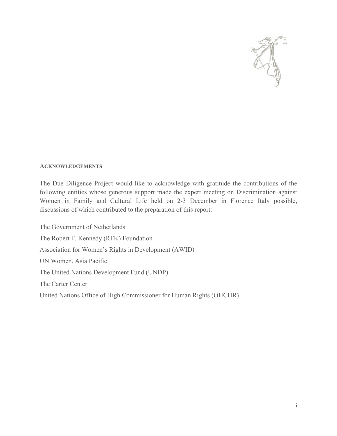

#### **ACKNOWLEDGEMENTS**

The Due Diligence Project would like to acknowledge with gratitude the contributions of the following entities whose generous support made the expert meeting on Discrimination against Women in Family and Cultural Life held on 2-3 December in Florence Italy possible, discussions of which contributed to the preparation of this report:

The Government of Netherlands The Robert F. Kennedy (RFK) Foundation Association for Women's Rights in Development (AWID) UN Women, Asia Pacific The United Nations Development Fund (UNDP) The Carter Center United Nations Office of High Commissioner for Human Rights (OHCHR)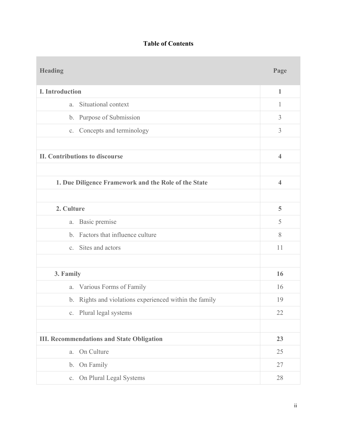# **Table of Contents**

| <b>Heading</b>                                       |                                                        | Page                    |
|------------------------------------------------------|--------------------------------------------------------|-------------------------|
| <b>I.</b> Introduction                               |                                                        | $\mathbf{1}$            |
| a.                                                   | Situational context                                    | 1                       |
|                                                      | b. Purpose of Submission                               | $\overline{3}$          |
|                                                      | c. Concepts and terminology                            | $\overline{3}$          |
|                                                      |                                                        |                         |
| <b>II. Contributions to discourse</b>                |                                                        | $\overline{4}$          |
|                                                      |                                                        |                         |
| 1. Due Diligence Framework and the Role of the State |                                                        | $\overline{\mathbf{4}}$ |
|                                                      |                                                        |                         |
| 2. Culture                                           |                                                        | 5                       |
| $\mathfrak{a}.$                                      | Basic premise                                          | 5                       |
|                                                      | b. Factors that influence culture                      | 8                       |
|                                                      | c. Sites and actors                                    | 11                      |
|                                                      |                                                        |                         |
| 3. Family                                            |                                                        | 16                      |
| a.                                                   | Various Forms of Family                                | 16                      |
|                                                      | b. Rights and violations experienced within the family | 19                      |
|                                                      | c. Plural legal systems                                | 22                      |
|                                                      |                                                        |                         |
| <b>III. Recommendations and State Obligation</b>     |                                                        | 23                      |
| a.                                                   | On Culture                                             | 25                      |
| b.                                                   | On Family                                              | 27                      |
| C <sub>1</sub>                                       | On Plural Legal Systems                                | 28                      |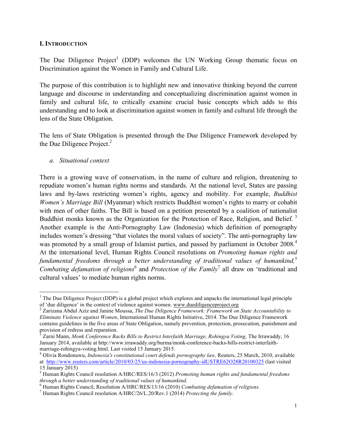#### **I. INTRODUCTION**

The Due Diligence  $Project<sup>1</sup>$  (DDP) welcomes the UN Working Group thematic focus on Discrimination against the Women in Family and Cultural Life.

The purpose of this contribution is to highlight new and innovative thinking beyond the current language and discourse in understanding and conceptualizing discrimination against women in family and cultural life, to critically examine crucial basic concepts which adds to this understanding and to look at discrimination against women in family and cultural life through the lens of the State Obligation.

The lens of State Obligation is presented through the Due Diligence Framework developed by the Due Diligence Project. $<sup>2</sup>$ </sup>

*a. Situational context*

!!!!!!!!!!!!!!!!!!!!!!!!!!!!!!!!!!!!!!!!!!!!!!!!!!!!!!!!!!!!

There is a growing wave of conservatism, in the name of culture and religion, threatening to repudiate women's human rights norms and standards. At the national level, States are passing laws and by-laws restricting women's rights, agency and mobility. For example, *Buddhist Women's Marriage Bill* (Myanmar) which restricts Buddhist women's rights to marry or cohabit with men of other faiths. The Bill is based on a petition presented by a coalition of nationalist Buddhist monks known as the Organization for the Protection of Race, Religion, and Belief.<sup>3</sup> Another example is the Anti-Pornography Law (Indonesia) which definition of pornography includes women's dressing "that violates the moral values of society". The anti-pornography law was promoted by a small group of Islamist parties, and passed by parliament in October 2008.<sup>4</sup> At the international level, Human Rights Council resolutions on *Promoting human rights and fundamental freedoms through a better understanding of traditional values of humankind,*<sup>5</sup> *Combating defamation of religions*<sup>6</sup> and *Protection of the Family*<sup>7</sup> all draw on 'traditional and cultural values' to mediate human rights norms.

<sup>&</sup>lt;sup>1</sup> The Due Diligence Project (DDP) is a global project which explores and unpacks the international legal principle of 'due diligence' in the context of violence against women. www.duediligenceproject.org

<sup>&</sup>lt;sup>2</sup> Zarizana Abdul Aziz and Janine Moussa, The Due Diligence Framework: Framework on State Accountability to *Eliminate Violence against Women*, International Human Rights Initiative, 2014. The Due Diligence Framework contains guidelines in the five areas of State Obligation, namely prevention, protection, prosecution, punishment and provision of redress and reparation.

<sup>3</sup> Zarni Mann, *Monk Conference Backs Bills to Restrict Interfaith Marriage, Rohingya Voting,* The Irrawaddy, 16 January 2014, available at http://www.irrawaddy.org/burma/monk-conference-backs-bills-restrict-interfaithmarriage-rohingya-voting.html. Last visited 15 January 2015.<br><sup>4</sup> Olivia Rondonuwu, *Indonesia's constitutional court defends pornography law*, Reuters, 25 March, 2010, available

at http://www.reuters.com/article/2010/03/25/us-indonesia-pornography-idUSTRE62O28R20100325 (last visited 15 January 2015)

<sup>5</sup> Human Rights Council resolution A/HRC/RES/16/3 (2012) *Promoting human rights and fundamental freedoms* 

<sup>&</sup>lt;sup>6</sup> Human Rights Council, Resolution A/HRC/RES/13/16 (2010) Combating defamation of religions.<br><sup>7</sup> Human Rights Council resolution A/HRC/26/L.20/Rev.1 (2014) *Protecting the family*.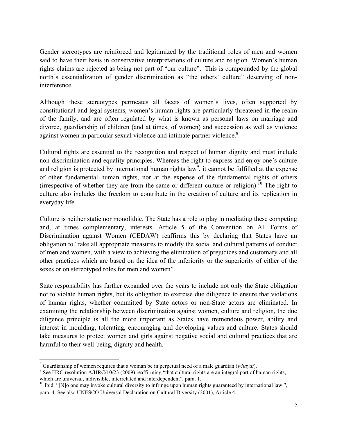Gender stereotypes are reinforced and legitimized by the traditional roles of men and women said to have their basis in conservative interpretations of culture and religion. Women's human rights claims are rejected as being not part of "our culture". This is compounded by the global north's essentialization of gender discrimination as "the others' culture" deserving of noninterference.

Although these stereotypes permeates all facets of women's lives, often supported by constitutional and legal systems, women's human rights are particularly threatened in the realm of the family, and are often regulated by what is known as personal laws on marriage and divorce, guardianship of children (and at times, of women) and succession as well as violence against women in particular sexual violence and intimate partner violence.<sup>8</sup>

Cultural rights are essential to the recognition and respect of human dignity and must include non-discrimination and equality principles. Whereas the right to express and enjoy one's culture and religion is protected by international human rights  $law<sup>9</sup>$ , it cannot be fulfilled at the expense of other fundamental human rights, nor at the expense of the fundamental rights of others (irrespective of whether they are from the same or different culture or religion).<sup>10</sup> The right to culture also includes the freedom to contribute in the creation of culture and its replication in everyday life.

Culture is neither static nor monolithic. The State has a role to play in mediating these competing and, at times complementary, interests. Article 5 of the Convention on All Forms of Discrimination against Women (CEDAW) reaffirms this by declaring that States have an obligation to "take all appropriate measures to modify the social and cultural patterns of conduct of men and women, with a view to achieving the elimination of prejudices and customary and all other practices which are based on the idea of the inferiority or the superiority of either of the sexes or on stereotyped roles for men and women".

State responsibility has further expanded over the years to include not only the State obligation not to violate human rights, but its obligation to exercise due diligence to ensure that violations of human rights, whether committed by State actors or non-State actors are eliminated. In examining the relationship between discrimination against women, culture and religion, the due diligence principle is all the more important as States have tremendous power, ability and interest in moulding, tolerating, encouraging and developing values and culture. States should take measures to protect women and girls against negative social and cultural practices that are harmful to their well-being, dignity and health.

<sup>!!!!!!!!!!!!!!!!!!!!!!!!!!!!!!!!!!!!!!!!!!!!!!!!!!!!!!!!!!!!</sup>

<sup>8</sup> Guardianship of women requires that a woman be in perpetual need of a male guardian (*wilayat*). <sup>9</sup> See HRC resolution A/HRC/10/23 (2009) reaffirming "that cultural rights are an integral part of human rights, which are universal, indivisible, interrelated and interdependent", para. 1.

 $10$  Ibid, "[N]o one may invoke cultural diversity to infringe upon human rights guaranteed by international law.", para. 4. See also UNESCO Universal Declaration on Cultural Diversity (2001), Article 4.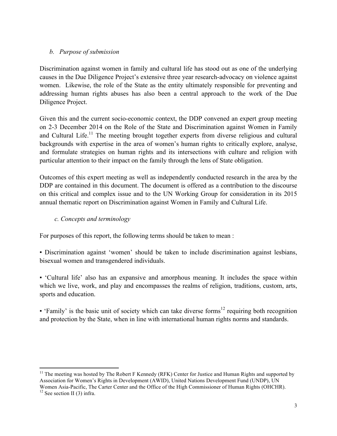#### *b. Purpose of submission*

Discrimination against women in family and cultural life has stood out as one of the underlying causes in the Due Diligence Project's extensive three year research-advocacy on violence against women. Likewise, the role of the State as the entity ultimately responsible for preventing and addressing human rights abuses has also been a central approach to the work of the Due Diligence Project.

Given this and the current socio-economic context, the DDP convened an expert group meeting on 2-3 December 2014 on the Role of the State and Discrimination against Women in Family and Cultural Life.<sup>11</sup> The meeting brought together experts from diverse religious and cultural backgrounds with expertise in the area of women's human rights to critically explore, analyse, and formulate strategies on human rights and its intersections with culture and religion with particular attention to their impact on the family through the lens of State obligation.

Outcomes of this expert meeting as well as independently conducted research in the area by the DDP are contained in this document. The document is offered as a contribution to the discourse on this critical and complex issue and to the UN Working Group for consideration in its 2015 annual thematic report on Discrimination against Women in Family and Cultural Life.

#### *c. Concepts and terminology*

For purposes of this report, the following terms should be taken to mean :

▪ Discrimination against 'women' should be taken to include discrimination against lesbians, bisexual women and transgendered individuals.

▪ 'Cultural life' also has an expansive and amorphous meaning. It includes the space within which we live, work, and play and encompasses the realms of religion, traditions, custom, arts, sports and education.

**• 'Family' is the basic unit of society which can take diverse forms**<sup>12</sup> requiring both recognition and protection by the State, when in line with international human rights norms and standards.

 $11$  The meeting was hosted by The Robert F Kennedy (RFK) Center for Justice and Human Rights and supported by Association for Women's Rights in Development (AWID), United Nations Development Fund (UNDP), UN Women Asia-Pacific, The Carter Center and the Office of the High Commissioner of Human Rights (OHCHR).<br><sup>12</sup> See section II (3) infra.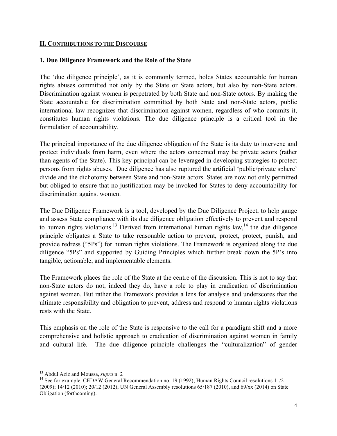#### **II. CONTRIBUTIONS TO THE DISCOURSE**

#### **1. Due Diligence Framework and the Role of the State**

The 'due diligence principle', as it is commonly termed, holds States accountable for human rights abuses committed not only by the State or State actors, but also by non-State actors. Discrimination against women is perpetrated by both State and non-State actors. By making the State accountable for discrimination committed by both State and non-State actors, public international law recognizes that discrimination against women, regardless of who commits it, constitutes human rights violations. The due diligence principle is a critical tool in the formulation of accountability.

The principal importance of the due diligence obligation of the State is its duty to intervene and protect individuals from harm, even where the actors concerned may be private actors (rather than agents of the State). This key principal can be leveraged in developing strategies to protect persons from rights abuses. Due diligence has also ruptured the artificial 'public/private sphere' divide and the dichotomy between State and non-State actors. States are now not only permitted but obliged to ensure that no justification may be invoked for States to deny accountability for discrimination against women.

The Due Diligence Framework is a tool, developed by the Due Diligence Project, to help gauge and assess State compliance with its due diligence obligation effectively to prevent and respond to human rights violations.<sup>13</sup> Derived from international human rights  $law<sub>1</sub><sup>14</sup>$  the due diligence principle obligates a State to take reasonable action to prevent, protect, protect, punish, and provide redress ("5Ps") for human rights violations. The Framework is organized along the due diligence "5Ps" and supported by Guiding Principles which further break down the 5P's into tangible, actionable, and implementable elements.

The Framework places the role of the State at the centre of the discussion. This is not to say that non-State actors do not, indeed they do, have a role to play in eradication of discrimination against women. But rather the Framework provides a lens for analysis and underscores that the ultimate responsibility and obligation to prevent, address and respond to human rights violations rests with the State.

This emphasis on the role of the State is responsive to the call for a paradigm shift and a more comprehensive and holistic approach to eradication of discrimination against women in family and cultural life. The due diligence principle challenges the "culturalization" of gender

<sup>&</sup>lt;sup>13</sup> Abdul Aziz and Moussa, *supra* n. 2

<sup>&</sup>lt;sup>14</sup> See for example, CEDAW General Recommendation no. 19 (1992); Human Rights Council resolutions 11/2 (2009); 14/12 (2010); 20/12 (2012); UN General Assembly resolutions 65/187 (2010), and 69/xx (2014) on State Obligation (forthcoming).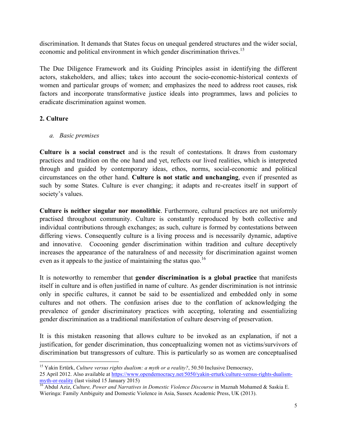discrimination. It demands that States focus on unequal gendered structures and the wider social, economic and political environment in which gender discrimination thrives.<sup>15</sup>

The Due Diligence Framework and its Guiding Principles assist in identifying the different actors, stakeholders, and allies; takes into account the socio-economic-historical contexts of women and particular groups of women; and emphasizes the need to address root causes, risk factors and incorporate transformative justice ideals into programmes, laws and policies to eradicate discrimination against women.

## **2. Culture**

*a. Basic premises*

!!!!!!!!!!!!!!!!!!!!!!!!!!!!!!!!!!!!!!!!!!!!!!!!!!!!!!!!!!!!

**Culture is a social construct** and is the result of contestations. It draws from customary practices and tradition on the one hand and yet, reflects our lived realities, which is interpreted through and guided by contemporary ideas, ethos, norms, social-economic and political circumstances on the other hand. **Culture is not static and unchanging**, even if presented as such by some States. Culture is ever changing; it adapts and re-creates itself in support of society's values.

**Culture is neither singular nor monolithic**. Furthermore, cultural practices are not uniformly practised throughout community. Culture is constantly reproduced by both collective and individual contributions through exchanges; as such, culture is formed by contestations between differing views. Consequently culture is a living process and is necessarily dynamic, adaptive and innovative. Cocooning gender discrimination within tradition and culture deceptively increases the appearance of the naturalness of and necessity for discrimination against women even as it appeals to the justice of maintaining the status quo.<sup>16</sup>

It is noteworthy to remember that **gender discrimination is a global practice** that manifests itself in culture and is often justified in name of culture. As gender discrimination is not intrinsic only in specific cultures, it cannot be said to be essentialized and embedded only in some cultures and not others. The confusion arises due to the conflation of acknowledging the prevalence of gender discriminatory practices with accepting, tolerating and essentializing gender discrimination as a traditional manifestation of culture deserving of preservation.

It is this mistaken reasoning that allows culture to be invoked as an explanation, if not a justification, for gender discrimination, thus conceptualizing women not as victims/survivors of discrimination but transgressors of culture. This is particularly so as women are conceptualised

<sup>&</sup>lt;sup>15</sup> Yakin Ertürk, *Culture versus rights dualism: a myth or a reality?*, 50.50 Inclusive Democracy, 25 April 2012. Also available at https://www.opendemocracy.net/5050/yakin-erturk/culture-versus-rights-dualismmyth-or-reality (last visited 15 January 2015)<br><sup>16</sup> Abdul Aziz, *Culture, Power and Narratives in Domestic Violence Discourse* in Maznah Mohamed & Saskia E.

Wieringa: Family Ambiguity and Domestic Violence in Asia, Sussex Academic Press, UK (2013).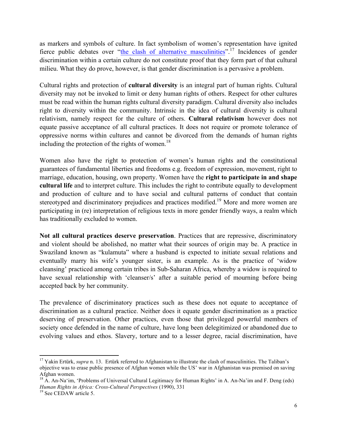as markers and symbols of culture. In fact symbolism of women's representation have ignited fierce public debates over "the clash of alternative masculinities".<sup>17</sup> Incidences of gender discrimination within a certain culture do not constitute proof that they form part of that cultural milieu. What they do prove, however, is that gender discrimination is a pervasive a problem.

Cultural rights and protection of **cultural diversity** is an integral part of human rights. Cultural diversity may not be invoked to limit or deny human rights of others. Respect for other cultures must be read within the human rights cultural diversity paradigm. Cultural diversity also includes right to diversity within the community. Intrinsic in the idea of cultural diversity is cultural relativism, namely respect for the culture of others. **Cultural relativism** however does not equate passive acceptance of all cultural practices. It does not require or promote tolerance of oppressive norms within cultures and cannot be divorced from the demands of human rights including the protection of the rights of women.<sup>18</sup>

Women also have the right to protection of women's human rights and the constitutional guarantees of fundamental liberties and freedoms e.g. freedom of expression, movement, right to marriage, education, housing, own property. Women have the **right to participate in and shape cultural life** and to interpret culture. This includes the right to contribute equally to development and production of culture and to have social and cultural patterns of conduct that contain stereotyped and discriminatory prejudices and practices modified.<sup>19</sup> More and more women are participating in (re) interpretation of religious texts in more gender friendly ways, a realm which has traditionally excluded to women.

**Not all cultural practices deserve preservation**. Practices that are repressive, discriminatory and violent should be abolished, no matter what their sources of origin may be. A practice in Swaziland known as "kulamuta" where a husband is expected to initiate sexual relations and eventually marry his wife's younger sister, is an example. As is the practice of 'widow cleansing' practiced among certain tribes in Sub-Saharan Africa, whereby a widow is required to have sexual relationship with 'cleanser/s' after a suitable period of mourning before being accepted back by her community.

The prevalence of discriminatory practices such as these does not equate to acceptance of discrimination as a cultural practice. Neither does it equate gender discrimination as a practice deserving of preservation. Other practices, even those that privileged powerful members of society once defended in the name of culture, have long been delegitimized or abandoned due to evolving values and ethos. Slavery, torture and to a lesser degree, racial discrimination, have

<sup>&</sup>lt;sup>17</sup> Yakin Ertürk, *supra* n. 13. Ertürk referred to Afghanistan to illustrate the clash of masculinities. The Taliban's objective was to erase public presence of Afghan women while the US' war in Afghanistan was premised on saving Afghan women.

<sup>&</sup>lt;sup>18</sup> A. An-Na<sup>t</sup>im, 'Problems of Universal Cultural Legitimacy for Human Rights' in A. An-Na'im and F. Deng (eds) *Human Rights in Africa: Cross-Cultural Perspectives* (1990), 331<sup>19</sup> See CEDAW article 5.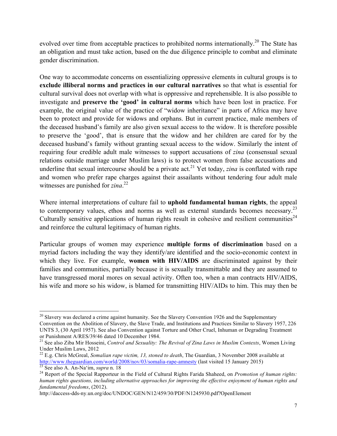evolved over time from acceptable practices to prohibited norms internationally.<sup>20</sup> The State has an obligation and must take action, based on the due diligence principle to combat and eliminate gender discrimination.

One way to accommodate concerns on essentializing oppressive elements in cultural groups is to **exclude illiberal norms and practices in our cultural narratives** so that what is essential for cultural survival does not overlap with what is oppressive and reprehensible. It is also possible to investigate and **preserve the 'good' in cultural norms** which have been lost in practice. For example, the original value of the practice of "widow inheritance" in parts of Africa may have been to protect and provide for widows and orphans. But in current practice, male members of the deceased husband's family are also given sexual access to the widow. It is therefore possible to preserve the 'good', that is ensure that the widow and her children are cared for by the deceased husband's family without granting sexual access to the widow. Similarly the intent of requiring four credible adult male witnesses to support accusations of *zina* (consensual sexual relations outside marriage under Muslim laws) is to protect women from false accusations and underline that sexual intercourse should be a private act. <sup>21</sup> Yet today, *zina* is conflated with rape and women who prefer rape charges against their assailants without tendering four adult male witnesses are punished for *zina*. 22

Where internal interpretations of culture fail to **uphold fundamental human rights**, the appeal to contemporary values, ethos and norms as well as external standards becomes necessary.<sup>23</sup> Culturally sensitive applications of human rights result in cohesive and resilient communities<sup>24</sup> and reinforce the cultural legitimacy of human rights.

Particular groups of women may experience **multiple forms of discrimination** based on a myriad factors including the way they identify/are identified and the socio-economic context in which they live. For example, **women with HIV/AIDS** are discriminated against by their families and communities, partially because it is sexually transmittable and they are assumed to have transgressed moral mores on sexual activity. Often too, when a man contracts HIV/AIDS, his wife and more so his widow, is blamed for transmitting HIV/AIDs to him. This may then be

!!!!!!!!!!!!!!!!!!!!!!!!!!!!!!!!!!!!!!!!!!!!!!!!!!!!!!!!!!!!

http://daccess-dds-ny.un.org/doc/UNDOC/GEN/N12/459/30/PDF/N1245930.pdf?OpenElement

 $20$  Slavery was declared a crime against humanity. See the Slavery Convention 1926 and the Supplementary Convention on the Abolition of Slavery, the Slave Trade, and Institutions and Practices Similar to Slavery 1957, 226 UNTS 3, (30 April 1957). See also Convention against Torture and Other Cruel, Inhuman or Degrading Treatment or Punishment A/RES/39/46 dated 10 December 1984.

<sup>21</sup> See also Ziba Mir Hosseini, *Control and Sexuality: The Revival of Zina Laws in Muslim Contexts*, Women Living Under Muslim Laws, 2012

<sup>22</sup> E.g. Chris McGreal, *Somalian rape victim, 13, stoned to death*, The Guardian, 3 November 2008 available at http://www.theguardian.com/world/2008/nov/03/somalia-rape-amnesty (last visited 15 January 2015)<br>
<sup>23</sup> See also A. An-Na<sup>2</sup>im, *supra* n. 18<br>
<sup>24</sup> Report of the Special Rapporteur in the Field of Cultural Rights Farida Sh

*human rights questions, including alternative approaches for improving the effective enjoyment of human rights and fundamental freedoms*, (2012).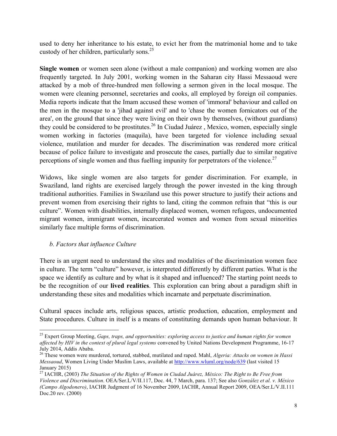used to deny her inheritance to his estate, to evict her from the matrimonial home and to take custody of her children, particularly sons. $^{25}$ 

**Single women** or women seen alone (without a male companion) and working women are also frequently targeted. In July 2001, working women in the Saharan city Hassi Messaoud were attacked by a mob of three-hundred men following a sermon given in the local mosque. The women were cleaning personnel, secretaries and cooks, all employed by foreign oil companies. Media reports indicate that the Imam accused these women of 'immoral' behaviour and called on the men in the mosque to a 'jihad against evil' and to 'chase the women fornicators out of the area', on the ground that since they were living on their own by themselves, (without guardians) they could be considered to be prostitutes.<sup>26</sup> In Ciudad Juárez, Mexico, women, especially single women working in factories (maquila), have been targeted for violence including sexual violence, mutilation and murder for decades. The discrimination was rendered more critical because of police failure to investigate and prosecute the cases, partially due to similar negative perceptions of single women and thus fuelling impunity for perpetrators of the violence.<sup>27</sup>

Widows, like single women are also targets for gender discrimination. For example, in Swaziland, land rights are exercised largely through the power invested in the king through traditional authorities. Families in Swaziland use this power structure to justify their actions and prevent women from exercising their rights to land, citing the common refrain that "this is our culture". Women with disabilities, internally displaced women, women refugees, undocumented migrant women, immigrant women, incarcerated women and women from sexual minorities similarly face multiple forms of discrimination.

## *b. Factors that influence Culture*

!!!!!!!!!!!!!!!!!!!!!!!!!!!!!!!!!!!!!!!!!!!!!!!!!!!!!!!!!!!!

There is an urgent need to understand the sites and modalities of the discrimination women face in culture. The term "culture" however, is interpreted differently by different parties. What is the space we identify as culture and by what is it shaped and influenced? The starting point needs to be the recognition of our **lived realities**. This exploration can bring about a paradigm shift in understanding these sites and modalities which incarnate and perpetuate discrimination.

Cultural spaces include arts, religious spaces, artistic production, education, employment and State procedures. Culture in itself is a means of constituting demands upon human behaviour. It

<sup>25</sup> Expert Group Meeting, *Gaps, traps, and opportunities: exploring access to justice and human rights for women affected by HIV in the context of plural legal systems* convened by United Nations Development Programme, 16-17 July 2014, Addis Ababa.

<sup>26</sup> These women were murdered, tortured, stabbed, mutilated and raped. Mahl, *Algeria: Attacks on women in Hassi Messaoud*, Women Living Under Muslim Laws, available at http://www.wluml.org/node/639 (last visited 15 January 2015)

<sup>27</sup> IACHR, (2003) *The Situation of the Rights of Women in Ciudad Juárez, México: The Right to Be Free from Violence and Discrimination*. OEA/Ser.L/V/II.117, Doc. 44, 7 March, para. 137; See also *González et al. v. México (Campo Algodonero)*, IACHR Judgment of 16 November 2009, IACHR, Annual Report 2009, OEA/Ser.L/V.II.111 Doc.20 rev. (2000)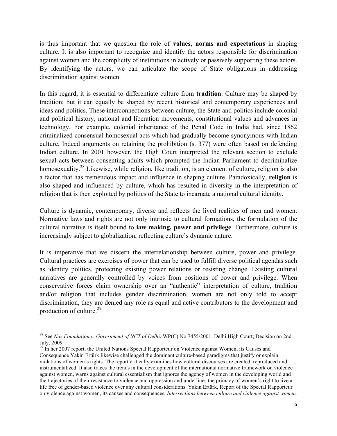is thus important that we question the role of **values, norms and expectations** in shaping culture. It is also important to recognize and identify the actors responsible for discrimination against women and the complicity of institutions in actively or passively supporting these actors. By identifying the actors, we can articulate the scope of State obligations in addressing discrimination against women.

In this regard, it is essential to differentiate culture from **tradition**. Culture may be shaped by tradition; but it can equally be shaped by recent historical and contemporary experiences and ideas and politics. These interconnections between culture, the State and politics include colonial and political history, national and liberation movements, constitutional values and advances in technology. For example, colonial inheritance of the Penal Code in India had, since 1862 criminalized consensual homosexual acts which had gradually become synonymous with Indian culture. Indeed arguments on retaining the prohibition (s. 377) were often based on defending Indian culture. In 2001 however, the High Court interpreted the relevant section to exclude sexual acts between consenting adults which prompted the Indian Parliament to decriminalize homosexuality.<sup>28</sup> Likewise, while religion, like tradition, is an element of culture, religion is also a factor that has tremendous impact and influence in shaping culture. Paradoxically, **religion** is also shaped and influenced by culture, which has resulted in diversity in the interpretation of religion that is then exploited by politics of the State to incarnate a national cultural identity.

Culture is dynamic, contemporary, diverse and reflects the lived realities of men and women. Normative laws and rights are not only intrinsic to cultural formations, the formulation of the cultural narrative is itself bound to **law making, power and privilege**. Furthermore, culture is increasingly subject to globalization, reflecting culture's dynamic nature.

It is imperative that we discern the interrelationship between culture, power and privilege. Cultural practices are exercises of power that can be used to fulfill diverse political agendas such as identity politics, protecting existing power relations or resisting change. Existing cultural narratives are generally controlled by voices from positions of power and privilege. When conservative forces claim ownership over an "authentic" interpretation of culture, tradition and/or religion that includes gender discrimination, women are not only told to accept discrimination, they are denied any role as equal and active contributors to the development and production of culture.<sup>29</sup>

<sup>&</sup>lt;sup>28</sup> See *Naz Foundation v. Government of NCT of Delhi*, WP(C) No.7455/2001, Delhi High Court; Decision on 2nd July, 2009

<sup>&</sup>lt;sup>29</sup> In her 2007 report, the United Nations Special Rapporteur on Violence against Women, its Causes and Consequence Yakin Ertürk likewise challenged the dominant culture-based paradigms that justify or explain violations of women's rights. The report critically examines how cultural discourses are created, reproduced and instrumentalized. It also traces the trends in the development of the international normative framework on violence against women, warns against cultural essentialism that ignores the agency of women in the developing world and the trajectories of their resistance to violence and oppression and underlines the primacy of women's right to live a life free of gender-based violence over any cultural considerations. Yakin Ertürk, Report of the Special Rapporteur on violence against women, its causes and consequences, *Intersections between culture and violence against women,*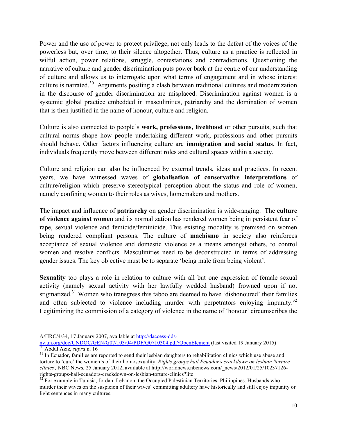Power and the use of power to protect privilege, not only leads to the defeat of the voices of the powerless but, over time, to their silence altogether. Thus, culture as a practice is reflected in wilful action, power relations, struggle, contestations and contradictions. Questioning the narrative of culture and gender discrimination puts power back at the centre of our understanding of culture and allows us to interrogate upon what terms of engagement and in whose interest culture is narrated.<sup>30</sup> Arguments positing a clash between traditional cultures and modernization in the discourse of gender discrimination are misplaced. Discrimination against women is a systemic global practice embedded in masculinities, patriarchy and the domination of women that is then justified in the name of honour, culture and religion.

Culture is also connected to people's **work, professions, livelihood** or other pursuits, such that cultural norms shape how people undertaking different work, professions and other pursuits should behave. Other factors influencing culture are **immigration and social status**. In fact, individuals frequently move between different roles and cultural spaces within a society.

Culture and religion can also be influenced by external trends, ideas and practices. In recent years, we have witnessed waves of **globalisation of conservative interpretations** of culture/religion which preserve stereotypical perception about the status and role of women, namely confining women to their roles as wives, homemakers and mothers.

The impact and influence of **patriarchy** on gender discrimination is wide-ranging. The **culture of violence against women** and its normalization has rendered women being in persistent fear of rape, sexual violence and femicide/feminicide. This existing modality is premised on women being rendered compliant persons. The culture of **machismo** in society also reinforces acceptance of sexual violence and domestic violence as a means amongst others, to control women and resolve conflicts. Masculinities need to be deconstructed in terms of addressing gender issues. The key objective must be to separate 'being male from being violent'.

**Sexuality** too plays a role in relation to culture with all but one expression of female sexual activity (namely sexual activity with her lawfully wedded husband) frowned upon if not stigmatized.<sup>31</sup> Women who transgress this taboo are deemed to have 'dishonoured' their families and often subjected to violence including murder with perpetrators enjoying impunity.<sup>32</sup> Legitimizing the commission of a category of violence in the name of 'honour' circumscribes the

!!!!!!!!!!!!!!!!!!!!!!!!!!!!!!!!!!!!!!!!!!!!!!!!!!!!!!!!!!!!!!!!!!!!!!!!!!!!!!!!!!!!!!!!!!!!!!!!!!!!!!!!!!!!!!!!!!!!!!!!!!!!!!!!!!!!!!!!!!!!!!!!!!!!!!!!!!!!!!!!!!!!!!!!!!!!!!!!!!!!!!!!!!!!!!!!!!!

A/HRC/4/34, 17 January 2007, available at http://daccess-dds-<br>ny.un.org/doc/UNDOC/GEN/G07/103/04/PDF/G0710304.pdf?OpenElement (last visited 19 January 2015)  $\frac{30}{30}$  Abdul Aziz, *supra* n. 16<br><sup>31</sup> In Ecuador, families are reported to send their lesbian daughters to rehabilitation clinics which use abuse and

torture to 'cure' the women's of their homosexuality. *Rights groups hail Ecuador's crackdown on lesbian 'torture clinics',* NBC News, 25 January 2012, available at http://worldnews.nbcnews.com/\_news/2012/01/25/10237126-

rights-groups-hail-ecuadors-crackdown-on-lesbian-torture-clinics?lite <sup>32</sup> For example in Tunisia, Jordan, Lebanon, the Occupied Palestinian Territories, Philippines. Husbands who murder their wives on the suspicion of their wives' committing adultery have historically and still enjoy impunity or light sentences in many cultures.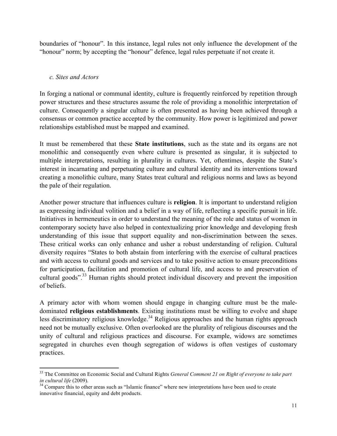boundaries of "honour". In this instance, legal rules not only influence the development of the "honour" norm; by accepting the "honour" defence, legal rules perpetuate if not create it.

#### *c. Sites and Actors*

!!!!!!!!!!!!!!!!!!!!!!!!!!!!!!!!!!!!!!!!!!!!!!!!!!!!!!!!!!!!

In forging a national or communal identity, culture is frequently reinforced by repetition through power structures and these structures assume the role of providing a monolithic interpretation of culture. Consequently a singular culture is often presented as having been achieved through a consensus or common practice accepted by the community. How power is legitimized and power relationships established must be mapped and examined.

It must be remembered that these **State institutions**, such as the state and its organs are not monolithic and consequently even where culture is presented as singular, it is subjected to multiple interpretations, resulting in plurality in cultures. Yet, oftentimes, despite the State's interest in incarnating and perpetuating culture and cultural identity and its interventions toward creating a monolithic culture, many States treat cultural and religious norms and laws as beyond the pale of their regulation.

Another power structure that influences culture is **religion**. It is important to understand religion as expressing individual volition and a belief in a way of life, reflecting a specific pursuit in life. Initiatives in hermeneutics in order to understand the meaning of the role and status of women in contemporary society have also helped in contextualizing prior knowledge and developing fresh understanding of this issue that support equality and non-discrimination between the sexes. These critical works can only enhance and usher a robust understanding of religion. Cultural diversity requires "States to both abstain from interfering with the exercise of cultural practices and with access to cultural goods and services and to take positive action to ensure preconditions for participation, facilitation and promotion of cultural life, and access to and preservation of cultural goods".<sup>33</sup> Human rights should protect individual discovery and prevent the imposition of beliefs.

A primary actor with whom women should engage in changing culture must be the maledominated **religious establishments**. Existing institutions must be willing to evolve and shape less discriminatory religious knowledge.<sup>34</sup> Religious approaches and the human rights approach need not be mutually exclusive. Often overlooked are the plurality of religious discourses and the unity of cultural and religious practices and discourse. For example, widows are sometimes segregated in churches even though segregation of widows is often vestiges of customary practices.

<sup>33</sup> The Committee on Economic Social and Cultural Rights *General Comment 21 on Right of everyone to take part in cultural life* (2009).<br><sup>34</sup> Compare this to other areas such as "Islamic finance" where new interpretations have been used to create

innovative financial, equity and debt products.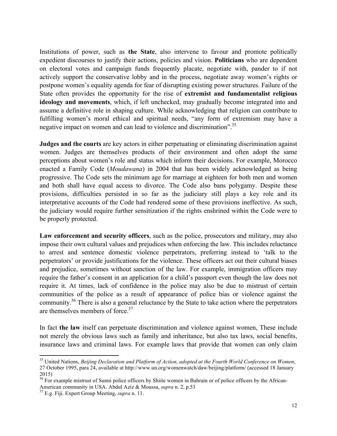Institutions of power, such as **the State**, also intervene to favour and promote politically expedient discourses to justify their actions, policies and vision. **Politicians** who are dependent on electoral votes and campaign funds frequently placate, negotiate with, pander to if not actively support the conservative lobby and in the process, negotiate away women's rights or postpone women's equality agenda for fear of disrupting existing power structures. Failure of the State often provides the opportunity for the rise of **extremist and fundamentalist religious ideology and movements**, which, if left unchecked, may gradually become integrated into and assume a definitive role in shaping culture. While acknowledging that religion can contribute to fulfilling women's moral ethical and spiritual needs, "any form of extremism may have a negative impact on women and can lead to violence and discrimination".<sup>35</sup>

**Judges and the courts** are key actors in either perpetuating or eliminating discrimination against women. Judges are themselves products of their environment and often adopt the same perceptions about women's role and status which inform their decisions. For example, Morocco enacted a Family Code (*Moudawana*) in 2004 that has been widely acknowledged as being progressive. The Code sets the minimum age for marriage at eighteen for both men and women and both shall have equal access to divorce. The Code also bans polygamy. Despite these provisions, difficulties persisted in so far as the judiciary still plays a key role and its interpretative accounts of the Code had rendered some of these provisions ineffective. As such, the judiciary would require further sensitization if the rights enshrined within the Code were to be properly protected.

**Law enforcement and security officers**, such as the police, prosecutors and military, may also impose their own cultural values and prejudices when enforcing the law. This includes reluctance to arrest and sentence domestic violence perpetrators, preferring instead to 'talk to the perpetrators' or provide justifications for the violence. These officers act out their cultural biases and prejudice, sometimes without sanction of the law. For example, immigration officers may require the father's consent in an application for a child's passport even though the law does not require it. At times, lack of confidence in the police may also be due to mistrust of certain communities of the police as a result of appearance of police bias or violence against the community.36 There is also a general reluctance by the State to take action where the perpetrators are themselves members of force. $37$ 

In fact **the law** itself can perpetuate discrimination and violence against women, These include not merely the obvious laws such as family and inheritance, but also tax laws, social benefits, insurance laws and criminal laws. For example laws that provide that women can only claim

<sup>35</sup> United Nations, *Beijing Declaration and Platform of Action, adopted at the Fourth World Conference on Women*, 27 October 1995, para 24, available at http://www.un.org/womenwatch/daw/beijing/platform/ (accessed 18 January 2015)

<sup>36</sup> For example mistrust of Sunni police officers by Shiite women in Bahrain or of police officers by the African-American community in USA. Abdul Aziz & Moussa, *supra* n. 2, p.53 <sup>37</sup> E.g. Fiji. Expert Group Meeting, *supra* n. 11.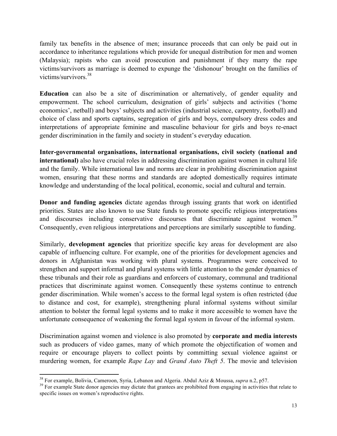family tax benefits in the absence of men; insurance proceeds that can only be paid out in accordance to inheritance regulations which provide for unequal distribution for men and women (Malaysia); rapists who can avoid prosecution and punishment if they marry the rape victims/survivors as marriage is deemed to expunge the 'dishonour' brought on the families of victims/survivors. 38

**Education** can also be a site of discrimination or alternatively, of gender equality and empowerment. The school curriculum, designation of girls' subjects and activities ('home economics', netball) and boys' subjects and activities (industrial science, carpentry, football) and choice of class and sports captains, segregation of girls and boys, compulsory dress codes and interpretations of appropriate feminine and masculine behaviour for girls and boys re-enact gender discrimination in the family and society in student's everyday education.

**Inter-governmental organisations, international organisations, civil society (national and international)** also have crucial roles in addressing discrimination against women in cultural life and the family. While international law and norms are clear in prohibiting discrimination against women, ensuring that these norms and standards are adopted domestically requires intimate knowledge and understanding of the local political, economic, social and cultural and terrain.

**Donor and funding agencies** dictate agendas through issuing grants that work on identified priorities. States are also known to use State funds to promote specific religious interpretations and discourses including conservative discourses that discriminate against women.<sup>39</sup> Consequently, even religious interpretations and perceptions are similarly susceptible to funding.

Similarly, **development agencies** that prioritize specific key areas for development are also capable of influencing culture. For example, one of the priorities for development agencies and donors in Afghanistan was working with plural systems. Programmes were conceived to strengthen and support informal and plural systems with little attention to the gender dynamics of these tribunals and their role as guardians and enforcers of customary, communal and traditional practices that discriminate against women. Consequently these systems continue to entrench gender discrimination. While women's access to the formal legal system is often restricted (due to distance and cost, for example), strengthening plural informal systems without similar attention to bolster the formal legal systems and to make it more accessible to women have the unfortunate consequence of weakening the formal legal system in favour of the informal system.

Discrimination against women and violence is also promoted by **corporate and media interests** such as producers of video games, many of which promote the objectification of women and require or encourage players to collect points by committing sexual violence against or murdering women, for example *Rape Lay* and *Grand Auto Theft 5*. The movie and television

<sup>&</sup>lt;sup>38</sup> For example, Bolivia, Cameroon, Syria, Lebanon and Algeria. Abdul Aziz & Moussa, supra n.2, p57.

<sup>&</sup>lt;sup>39</sup> For example State donor agencies may dictate that grantees are prohibited from engaging in activities that relate to specific issues on women's reproductive rights.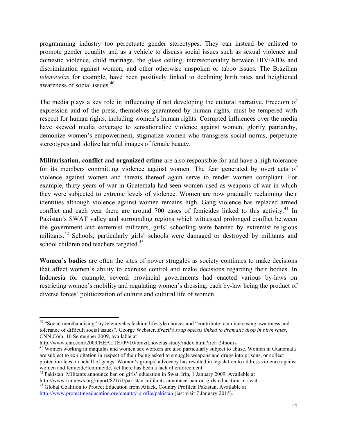programming industry too perpetuate gender stereotypes. They can instead be enlisted to promote gender equality and as a vehicle to discuss social issues such as sexual violence and domestic violence, child marriage, the glass ceiling, intersectionality between HIV/AIDs and discrimination against women, and other otherwise unspoken or taboo issues. The Brazilian *telenovelas* for example, have been positively linked to declining birth rates and heightened awareness of social issues.40

The media plays a key role in influencing if not developing the cultural narrative. Freedom of expression and of the press, themselves guaranteed by human rights, must be tempered with respect for human rights, including women's human rights. Corrupted influences over the media have skewed media coverage to sensationalize violence against women, glorify patriarchy, demonize women's empowerment, stigmatize women who transgress social norms, perpetuate stereotypes and idolize harmful images of female beauty.

**Militarisation, conflict** and **organized crime** are also responsible for and have a high tolerance for its members committing violence against women. The fear generated by overt acts of violence against women and threats thereof again serve to render women compliant. For example, thirty years of war in Guatemala had seen women used as weapons of war in which they were subjected to extreme levels of violence. Women are now gradually reclaiming their identities although violence against women remains high. Gang violence has replaced armed conflict and each year there are around  $700$  cases of femicides linked to this activity.<sup>41</sup> In Pakistan's SWAT valley and surrounding regions which witnessed prolonged conflict between the government and extremist militants, girls' schooling were banned by extremist religious militants.<sup>42</sup> Schools, particularly girls' schools were damaged or destroyed by militants and school children and teachers targeted.<sup>43</sup>

**Women's bodies** are often the sites of power struggles as society continues to make decisions that affect women's ability to exercise control and make decisions regarding their bodies. In Indonesia for example, several provincial governments had enacted various by-laws on restricting women's mobility and regulating women's dressing; each by-law being the product of diverse forces' politicization of culture and cultural life of women.

<sup>&</sup>lt;sup>40</sup> "Social merchandising" by telenovelas fashion lifestyle choices and "contribute to an increasing awareness and tolerance of difficult social issues". George Webster, *Brazil's soap operas linked to dramatic drop in birth rates*, CNN.Com, 10 September 2009, available at

http://www.cnn.com/2009/HEALTH/09/10/brazil.novelas.study/index.html?iref=24hours

<sup>&</sup>lt;sup>41</sup> Women working in maquilas and women sex workers are also particularly subject to abuse. Women in Guatemala are subject to exploitation in respect of their being asked to smuggle weapons and drugs into prisons, or collect protection fees on behalf of gangs. Women's groups' advocacy has resulted in legislation to address violence against

women and femicide/feminicide, yet there has been a lack of enforcement.<br><sup>42</sup> Pakistan: Militants announce ban on girls' education in Swat, Irin, 1 January 2009. Available at<br>http://www.irinnews.org/report/82161/pakistan-m

<sup>&</sup>lt;sup>43</sup> Global Coalition to Protect Education from Attack, Country Profiles: Pakistan. Available at http://www.protectingeducation.org/country-profile/pakistan (last visit 7 January 2015).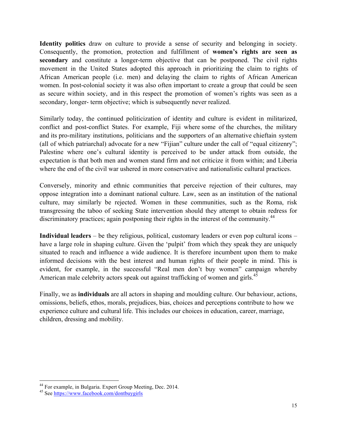**Identity politics** draw on culture to provide a sense of security and belonging in society. Consequently, the promotion, protection and fulfillment of **women's rights are seen as secondary** and constitute a longer-term objective that can be postponed. The civil rights movement in the United States adopted this approach in prioritizing the claim to rights of African American people (i.e. men) and delaying the claim to rights of African American women. In post-colonial society it was also often important to create a group that could be seen as secure within society, and in this respect the promotion of women's rights was seen as a secondary, longer- term objective; which is subsequently never realized.

Similarly today, the continued politicization of identity and culture is evident in militarized, conflict and post-conflict States. For example, Fiji where some of the churches, the military and its pro-military institutions, politicians and the supporters of an alternative chieftain system (all of which patriarchal) advocate for a new "Fijian" culture under the call of "equal citizenry"; Palestine where one's cultural identity is perceived to be under attack from outside, the expectation is that both men and women stand firm and not criticize it from within; and Liberia where the end of the civil war ushered in more conservative and nationalistic cultural practices.

Conversely, minority and ethnic communities that perceive rejection of their cultures, may oppose integration into a dominant national culture. Law, seen as an institution of the national culture, may similarly be rejected. Women in these communities, such as the Roma, risk transgressing the taboo of seeking State intervention should they attempt to obtain redress for discriminatory practices; again postponing their rights in the interest of the community.<sup>44</sup>

**Individual leaders** – be they religious, political, customary leaders or even pop cultural icons – have a large role in shaping culture. Given the 'pulpit' from which they speak they are uniquely situated to reach and influence a wide audience. It is therefore incumbent upon them to make informed decisions with the best interest and human rights of their people in mind. This is evident, for example, in the successful "Real men don't buy women" campaign whereby American male celebrity actors speak out against trafficking of women and girls.<sup>45</sup>

Finally, we as **individuals** are all actors in shaping and moulding culture. Our behaviour, actions, omissions, beliefs, ethos, morals, prejudices, bias, choices and perceptions contribute to how we experience culture and cultural life. This includes our choices in education, career, marriage, children, dressing and mobility.

<sup>&</sup>lt;sup>44</sup> For example, in Bulgaria. Expert Group Meeting, Dec. 2014.<br><sup>45</sup> See https://www.facebook.com/dontbuygirls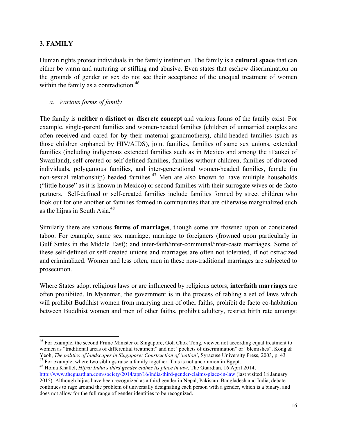#### **3. FAMILY**

Human rights protect individuals in the family institution. The family is a **cultural space** that can either be warm and nurturing or stifling and abusive. Even states that eschew discrimination on the grounds of gender or sex do not see their acceptance of the unequal treatment of women within the family as a contradiction.<sup>46</sup>

*a. Various forms of family* 

!!!!!!!!!!!!!!!!!!!!!!!!!!!!!!!!!!!!!!!!!!!!!!!!!!!!!!!!!!!!

The family is **neither a distinct or discrete concept** and various forms of the family exist. For example, single-parent families and women-headed families (children of unmarried couples are often received and cared for by their maternal grandmothers), child-headed families (such as those children orphaned by HIV/AIDS), joint families, families of same sex unions, extended families (including indigenous extended families such as in Mexico and among the iTaukei of Swaziland), self-created or self-defined families, families without children, families of divorced individuals, polygamous families, and inter-generational women-headed families, female (in non-sexual relationship) headed families.<sup>47</sup> Men are also known to have multiple households ("little house" as it is known in Mexico) or second families with their surrogate wives or de facto partners. Self-defined or self-created families include families formed by street children who look out for one another or families formed in communities that are otherwise marginalized such as the hijras in South Asia.<sup>48</sup>

Similarly there are various **forms of marriages**, though some are frowned upon or considered taboo. For example, same sex marriage; marriage to foreigners (frowned upon particularly in Gulf States in the Middle East); and inter-faith/inter-communal/inter-caste marriages. Some of these self-defined or self-created unions and marriages are often not tolerated, if not ostracized and criminalized. Women and less often, men in these non-traditional marriages are subjected to prosecution.

Where States adopt religious laws or are influenced by religious actors, **interfaith marriages** are often prohibited. In Myanmar, the government is in the process of tabling a set of laws which will prohibit Buddhist women from marrying men of other faiths, prohibit de facto co-habitation between Buddhist women and men of other faiths, prohibit adultery, restrict birth rate amongst

<sup>&</sup>lt;sup>46</sup> For example, the second Prime Minister of Singapore, Goh Chok Tong, viewed not according equal treatment to women as "traditional areas of differential treatment" and not "pockets of discrimination" or "blemishes", Kong & Yeoh, *The politics of landscapes in Singapore: Construction of 'nation'*, Syracuse University Press, 2003, p. 43<br><sup>47</sup> For example, where two siblings raise a family together. This is not uncommon in Egypt.<br><sup>48</sup> Homa Khall

http://www.theguardian.com/society/2014/apr/16/india-third-gender-claims-place-in-law (last visited 18 January 2015). Although hijras have been recognized as a third gender in Nepal, Pakistan, Bangladesh and India, debate continues to rage around the problem of universally designating each person with a gender, which is a binary, and does not allow for the full range of gender identities to be recognized.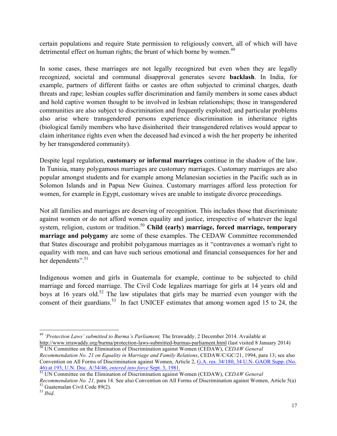certain populations and require State permission to religiously convert, all of which will have detrimental effect on human rights; the brunt of which borne by women.<sup>49</sup>

In some cases, these marriages are not legally recognized but even when they are legally recognized, societal and communal disapproval generates severe **backlash**. In India, for example, partners of different faiths or castes are often subjected to criminal charges, death threats and rape; lesbian couples suffer discrimination and family members in some cases abduct and hold captive women thought to be involved in lesbian relationships; those in transgendered communities are also subject to discrimination and frequently exploited; and particular problems also arise where transgendered persons experience discrimination in inheritance rights (biological family members who have disinherited their transgendered relatives would appear to claim inheritance rights even when the deceased had evinced a wish the her property be inherited by her transgendered community).

Despite legal regulation, **customary or informal marriages** continue in the shadow of the law. In Tunisia, many polygamous marriages are customary marriages. Customary marriages are also popular amongst students and for example among Melanesian societies in the Pacific such as in Solomon Islands and in Papua New Guinea. Customary marriages afford less protection for women, for example in Egypt, customary wives are unable to instigate divorce proceedings.

Not all families and marriages are deserving of recognition. This includes those that discriminate against women or do not afford women equality and justice, irrespective of whatever the legal system, religion, custom or tradition.<sup>50</sup> Child (early) marriage, forced marriage, temporary **marriage and polygamy** are some of these examples. The CEDAW Committee recommended that States discourage and prohibit polygamous marriages as it "contravenes a woman's right to equality with men, and can have such serious emotional and financial consequences for her and her dependents".<sup>51</sup>

Indigenous women and girls in Guatemala for example, continue to be subjected to child marriage and forced marriage. The Civil Code legalizes marriage for girls at 14 years old and boys at 16 years old.<sup>52</sup> The law stipulates that girls may be married even younger with the consent of their guardians.<sup>53</sup> In fact UNICEF estimates that among women aged 15 to 24, the

<sup>!!!!!!!!!!!!!!!!!!!!!!!!!!!!!!!!!!!!!!!!!!!!!!!!!!!!!!!!!!!!</sup> <sup>49</sup> *'Protection Laws' submitted to Burma's Parliament,* The Irrawaddy, 2 December 2014. Available at

<sup>&</sup>lt;sup>50</sup> UN Committee on the Elimination of Discrimination against Women (CEDAW), *CEDAW General* 

*Recommendation No. 21 on Equality in Marriage and Family Relations*, CEDAW/C/GC/21, 1994, para 13; see also Convention on All Forms of Discrimination against Women, Article 2, G.A. res. 34/180, 34 U.N. GAOR Supp. (No. 46) at 193, U.N. Doc. A/34/46, *entered into force* Sept. 3, 1981. 51 UN Committee on the Elimination of Discrimination against Women (CEDAW), *CEDAW General* 

*Recommendation No. 21,* para 14. See also Convention on All Forms of Discrimination against Women, Article 5(a) <sup>52</sup> Guatemalan Civil Code 89(2).<br><sup>53</sup> *Ibid.*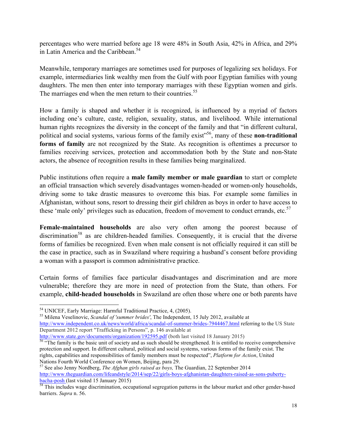percentages who were married before age 18 were 48% in South Asia, 42% in Africa, and 29% in Latin America and the Caribbean.<sup>54</sup>

Meanwhile, temporary marriages are sometimes used for purposes of legalizing sex holidays. For example, intermediaries link wealthy men from the Gulf with poor Egyptian families with young daughters. The men then enter into temporary marriages with these Egyptian women and girls. The marriages end when the men return to their countries.<sup>55</sup>

How a family is shaped and whether it is recognized, is influenced by a myriad of factors including one's culture, caste, religion, sexuality, status, and livelihood. While international human rights recognizes the diversity in the concept of the family and that "in different cultural, political and social systems, various forms of the family exist" 56, many of these **non-traditional forms of family** are not recognized by the State. As recognition is oftentimes a precursor to families receiving services, protection and accommodation both by the State and non-State actors, the absence of recognition results in these families being marginalized.

Public institutions often require a **male family member or male guardian** to start or complete an official transaction which severely disadvantages women-headed or women-only households, driving some to take drastic measures to overcome this bias. For example some families in Afghanistan, without sons, resort to dressing their girl children as boys in order to have access to these 'male only' privileges such as education, freedom of movement to conduct errands, etc.<sup>57</sup>

**Female-maintained households** are also very often among the poorest because of discrimination<sup>58</sup> as are children-headed families. Consequently, it is crucial that the diverse forms of families be recognized. Even when male consent is not officially required it can still be the case in practice, such as in Swaziland where requiring a husband's consent before providing a woman with a passport is common administrative practice.

Certain forms of families face particular disadvantages and discrimination and are more vulnerable; therefore they are more in need of protection from the State, than others. For example, **child-headed households** in Swaziland are often those where one or both parents have

!!!!!!!!!!!!!!!!!!!!!!!!!!!!!!!!!!!!!!!!!!!!!!!!!!!!!!!!!!!!

<sup>54</sup> UNICEF, Early Marriage: Harmful Traditional Practice, 4, (2005). 55 Milena Veselinovic, *Scandal of 'summer brides'*, The Independent, 15 July 2012, available at http://www.independent.co.uk/news/world/africa/scandal-of-summer-brides-7944467.html referring to the US State Department 2012 report "Trafficking in Persons", p. 146 available at

http://www.state.gov/documents/organization/192595.pdf (both last visited 18 January 2015)<br><sup>56</sup> "The family is the basic unit of society and as such should be strengthened. It is entitled to receive comprehensive protection and support. In different cultural, political and social systems, various forms of the family exist. The rights, capabilities and responsibilities of family members must be respected", *Platform for Action*, United Nations Fourth World Conference on Women, Beijing, para 29.

<sup>57</sup> See also Jenny Nordberg, *The Afghan girls raised as boys,* The Guardian, 22 September 2014 http://www.theguardian.com/lifeandstyle/2014/sep/22/girls-boys-afghanistan-daughters-raised-as-sons-pubertybacha-posh (last visited 15 January 2015)<br><sup>58</sup> This includes wage discrimination, occupational segregation patterns in the labour market and other gender-based

barriers. *Supra* n. 56.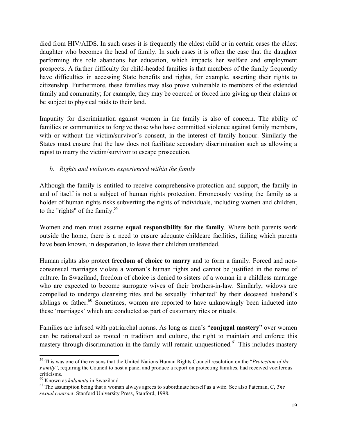died from HIV/AIDS. In such cases it is frequently the eldest child or in certain cases the eldest daughter who becomes the head of family. In such cases it is often the case that the daughter performing this role abandons her education, which impacts her welfare and employment prospects. A further difficulty for child-headed families is that members of the family frequently have difficulties in accessing State benefits and rights, for example, asserting their rights to citizenship. Furthermore, these families may also prove vulnerable to members of the extended family and community; for example, they may be coerced or forced into giving up their claims or be subject to physical raids to their land.

Impunity for discrimination against women in the family is also of concern. The ability of families or communities to forgive those who have committed violence against family members, with or without the victim/survivor's consent, in the interest of family honour. Similarly the States must ensure that the law does not facilitate secondary discrimination such as allowing a rapist to marry the victim/survivor to escape prosecution.

## *b. Rights and violations experienced within the family*

Although the family is entitled to receive comprehensive protection and support, the family in and of itself is not a subject of human rights protection. Erroneously vesting the family as a holder of human rights risks subverting the rights of individuals, including women and children, to the "rights" of the family.<sup>59</sup>

Women and men must assume **equal responsibility for the family**. Where both parents work outside the home, there is a need to ensure adequate childcare facilities, failing which parents have been known, in desperation, to leave their children unattended.

Human rights also protect **freedom of choice to marry** and to form a family. Forced and nonconsensual marriages violate a woman's human rights and cannot be justified in the name of culture. In Swaziland, freedom of choice is denied to sisters of a woman in a childless marriage who are expected to become surrogate wives of their brothers-in-law. Similarly, widows are compelled to undergo cleansing rites and be sexually 'inherited' by their deceased husband's siblings or father.<sup>60</sup> Sometimes, women are reported to have unknowingly been inducted into these 'marriages' which are conducted as part of customary rites or rituals.

Families are infused with patriarchal norms. As long as men's "**conjugal mastery**" over women can be rationalized as rooted in tradition and culture, the right to maintain and enforce this mastery through discrimination in the family will remain unquestioned.<sup>61</sup> This includes mastery

<sup>59</sup> This was one of the reasons that the United Nations Human Rights Council resolution on the "*Protection of the Family*", requiring the Council to host a panel and produce a report on protecting families, had received vociferous criticisms.<br><sup>60</sup> Known as *kulamuta* in Swaziland.

<sup>&</sup>lt;sup>61</sup> The assumption being that a woman always agrees to subordinate herself as a wife. See also Pateman, C, *The sexual contract*. Stanford University Press, Stanford, 1998.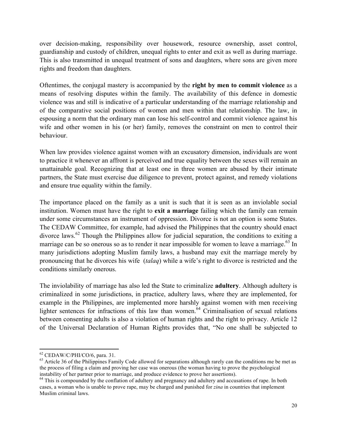over decision-making, responsibility over housework, resource ownership, asset control, guardianship and custody of children, unequal rights to enter and exit as well as during marriage. This is also transmitted in unequal treatment of sons and daughters, where sons are given more rights and freedom than daughters.

Oftentimes, the conjugal mastery is accompanied by the **right by men to commit violence** as a means of resolving disputes within the family. The availability of this defence in domestic violence was and still is indicative of a particular understanding of the marriage relationship and of the comparative social positions of women and men within that relationship. The law, in espousing a norm that the ordinary man can lose his self-control and commit violence against his wife and other women in his (or her) family, removes the constraint on men to control their behaviour.

When law provides violence against women with an excusatory dimension, individuals are wont to practice it whenever an affront is perceived and true equality between the sexes will remain an unattainable goal. Recognizing that at least one in three women are abused by their intimate partners, the State must exercise due diligence to prevent, protect against, and remedy violations and ensure true equality within the family.

The importance placed on the family as a unit is such that it is seen as an inviolable social institution. Women must have the right to **exit a marriage** failing which the family can remain under some circumstances an instrument of oppression. Divorce is not an option is some States. The CEDAW Committee, for example, had advised the Philippines that the country should enact divorce laws.<sup>62</sup> Though the Philippines allow for judicial separation, the conditions to exiting a marriage can be so onerous so as to render it near impossible for women to leave a marriage.<sup>63</sup> In many jurisdictions adopting Muslim family laws, a husband may exit the marriage merely by pronouncing that he divorces his wife (*talaq*) while a wife's right to divorce is restricted and the conditions similarly onerous.

The inviolability of marriage has also led the State to criminalize **adultery**. Although adultery is criminalized in some jurisdictions, in practice, adultery laws, where they are implemented, for example in the Philippines, are implemented more harshly against women with men receiving lighter sentences for infractions of this law than women.<sup>64</sup> Criminalisation of sexual relations between consenting adults is also a violation of human rights and the right to privacy. Article 12 of the Universal Declaration of Human Rights provides that, "No one shall be subjected to

<sup>!!!!!!!!!!!!!!!!!!!!!!!!!!!!!!!!!!!!!!!!!!!!!!!!!!!!!!!!!!!!</sup>

 $^{62}$  CEDAW/C/PHI/CO/6, para. 31.<br> $^{63}$  Article 36 of the Philippines Family Code allowed for separations although rarely can the conditions me be met as the process of filing a claim and proving her case was onerous (the woman having to prove the psychological instability of her partner prior to marriage, and produce evidence to prove her assertions).

<sup>&</sup>lt;sup>64</sup> This is compounded by the conflation of adultery and pregnancy and adultery and accusations of rape. In both cases, a woman who is unable to prove rape, may be charged and punished for *zina* in countries that implement Muslim criminal laws.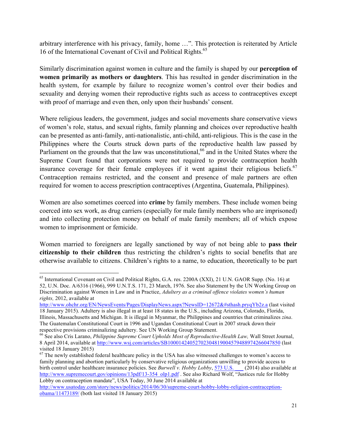arbitrary interference with his privacy, family, home …". This protection is reiterated by Article 16 of the International Covenant of Civil and Political Rights.<sup>65</sup>

Similarly discrimination against women in culture and the family is shaped by our **perception of women primarily as mothers or daughters**. This has resulted in gender discrimination in the health system, for example by failure to recognize women's control over their bodies and sexuality and denying women their reproductive rights such as access to contraceptives except with proof of marriage and even then, only upon their husbands' consent.

Where religious leaders, the government, judges and social movements share conservative views of women's role, status, and sexual rights, family planning and choices over reproductive health can be presented as anti-family, anti-nationalistic, anti-child, anti-religious. This is the case in the Philippines where the Courts struck down parts of the reproductive health law passed by Parliament on the grounds that the law was unconstitutional, <sup>66</sup> and in the United States where the Supreme Court found that corporations were not required to provide contraception health insurance coverage for their female employees if it went against their religious beliefs. $67$ Contraception remains restricted, and the consent and presence of male partners are often required for women to access prescription contraceptives (Argentina, Guatemala, Philippines).

Women are also sometimes coerced into **crime** by family members. These include women being coerced into sex work, as drug carriers (especially for male family members who are imprisoned) and into collecting protection money on behalf of male family members; all of which expose women to imprisonment or femicide.

Women married to foreigners are legally sanctioned by way of not being able to **pass their citizenship to their children** thus restricting the children's rights to social benefits that are otherwise available to citizens. Children's rights to a name, to education, theoretically to be part

<sup>&</sup>lt;sup>65</sup> International Covenant on Civil and Political Rights, G.A. res. 2200A (XXI), 21 U.N. GAOR Supp. (No. 16) at 52, U.N. Doc. A/6316 (1966), 999 U.N.T.S. 171, 23 March, 1976. See also Statement by the UN Working Group on Discrimination against Women in Law and in Practice, *Adultery as a criminal offence violates women's human rights,* 2012, available at

http://www.ohchr.org/EN/NewsEvents/Pages/DisplayNews.aspx?NewsID=12672&#sthash.pryqYb2z.a (last visited 18 January 2015). Adultery is also illegal in at least 18 states in the U.S., including Arizona, Colorado, Florida, Illinois, Massachusetts and Michigan. It is illegal in Myanmar, the Philippines and countries that criminalizes *zina*. The Guatemalan Constitutional Court in 1996 and Ugandan Constitutional Court in 2007 struck down their respective provisions criminalizing adultery. See UN Working Group Statement.

<sup>66</sup> See also Cris Larano, *Philippine Supreme Court Upholds Most of Reproductive-Health Law,* Wall Street Journal, 8 April 2014, available at http://www.wsj.com/articles/SB10001424052702304819004579488974266047850 (last visited 18 January 2015)

 $67$  The newly established federal healthcare policy in the USA has also witnessed challenges to women's access to family planning and abortion particularly by conservative religious organizations unwilling to provide access to birth control under healthcare insurance policies. See *Burwell v. Hobby Lobby*, 573 U.S. \_\_\_ (2014) also available at http://www.supremecourt.gov/opinions/13pdf/13-354\_olp1.pdf . See also Richard Wolf, "Justices rule for Hobby Lobby on contraception mandate", USA Today, 30 June 2014 available at

http://www.usatoday.com/story/news/politics/2014/06/30/supreme-court-hobby-lobby-religion-contraceptionobama/11473189/ (both last visited 18 January 2015)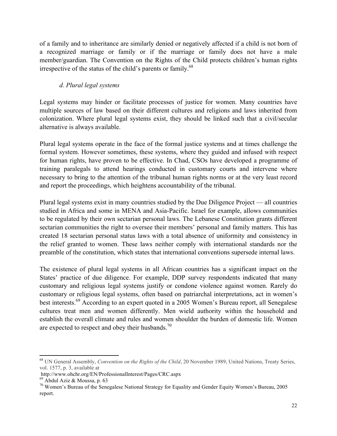of a family and to inheritance are similarly denied or negatively affected if a child is not born of a recognized marriage or family or if the marriage or family does not have a male member/guardian. The Convention on the Rights of the Child protects children's human rights irrespective of the status of the child's parents or family.<sup>68</sup>

## *d. Plural legal systems*

Legal systems may hinder or facilitate processes of justice for women. Many countries have multiple sources of law based on their different cultures and religions and laws inherited from colonization. Where plural legal systems exist, they should be linked such that a civil/secular alternative is always available.

Plural legal systems operate in the face of the formal justice systems and at times challenge the formal system. However sometimes, these systems, where they guided and infused with respect for human rights, have proven to be effective. In Chad, CSOs have developed a programme of training paralegals to attend hearings conducted in customary courts and intervene where necessary to bring to the attention of the tribunal human rights norms or at the very least record and report the proceedings, which heightens accountability of the tribunal.

Plural legal systems exist in many countries studied by the Due Diligence Project — all countries studied in Africa and some in MENA and Asia-Pacific. Israel for example, allows communities to be regulated by their own sectarian personal laws. The Lebanese Constitution grants different sectarian communities the right to oversee their members' personal and family matters. This has created 18 sectarian personal status laws with a total absence of uniformity and consistency in the relief granted to women. These laws neither comply with international standards nor the preamble of the constitution, which states that international conventions supersede internal laws.

The existence of plural legal systems in all African countries has a significant impact on the States' practice of due diligence. For example, DDP survey respondents indicated that many customary and religious legal systems justify or condone violence against women. Rarely do customary or religious legal systems, often based on patriarchal interpretations, act in women's best interests.<sup>69</sup> According to an expert quoted in a 2005 Women's Bureau report, all Senegalese cultures treat men and women differently. Men wield authority within the household and establish the overall climate and rules and women shoulder the burden of domestic life. Women are expected to respect and obey their husbands.<sup>70</sup>

<sup>68</sup> UN General Assembly, *Convention on the Rights of the Child*, 20 November 1989, United Nations, Treaty Series, vol. 1577, p. 3, available at

http://www.ohchr.org/EN/ProfessionalInterest/Pages/CRC.aspx

 $^{70}$  Women's Bureau of the Senegalese National Strategy for Equality and Gender Equity Women's Bureau, 2005 report.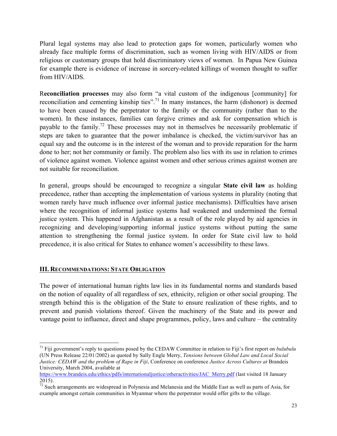Plural legal systems may also lead to protection gaps for women, particularly women who already face multiple forms of discrimination, such as women living with HIV/AIDS or from religious or customary groups that hold discriminatory views of women. In Papua New Guinea for example there is evidence of increase in sorcery-related killings of women thought to suffer from HIV/AIDS.

R**econciliation processes** may also form "a vital custom of the indigenous [community] for reconciliation and cementing kinship ties".<sup>71</sup> In many instances, the harm (dishonor) is deemed to have been caused by the perpetrator to the family or the community (rather than to the women). In these instances, families can forgive crimes and ask for compensation which is payable to the family.<sup>72</sup> These processes may not in themselves be necessarily problematic if steps are taken to guarantee that the power imbalance is checked, the victim/survivor has an equal say and the outcome is in the interest of the woman and to provide reparation for the harm done to her; not her community or family. The problem also lies with its use in relation to crimes of violence against women. Violence against women and other serious crimes against women are not suitable for reconciliation.

In general, groups should be encouraged to recognize a singular **State civil law** as holding precedence, rather than accepting the implementation of various systems in plurality (noting that women rarely have much influence over informal justice mechanisms). Difficulties have arisen where the recognition of informal justice systems had weakened and undermined the formal justice system. This happened in Afghanistan as a result of the role played by aid agencies in recognizing and developing/supporting informal justice systems without putting the same attention to strengthening the formal justice system. In order for State civil law to hold precedence, it is also critical for States to enhance women's accessibility to these laws.

#### **III. RECOMMENDATIONS: STATE OBLIGATION**

!!!!!!!!!!!!!!!!!!!!!!!!!!!!!!!!!!!!!!!!!!!!!!!!!!!!!!!!!!!!

The power of international human rights law lies in its fundamental norms and standards based on the notion of equality of all regardless of sex, ethnicity, religion or other social grouping. The strength behind this is the obligation of the State to ensure realization of these rights, and to prevent and punish violations thereof. Given the machinery of the State and its power and vantage point to influence, direct and shape programmes, policy, laws and culture – the centrality

<sup>71</sup> Fiji government's reply to questions posed by the CEDAW Committee in relation to Fiji's first report on *bulubulu* (UN Press Release 22/01/2002) as quoted by Sally Engle Merry, *Tensions between Global Law and Local Social Justice: CEDAW and the problem of Rape in Fiji*, Conference on conference *Justice Across Cultures at* Brandeis University, March 2004, available at

https://www.brandeis.edu/ethics/pdfs/internationaljustice/otheractivities/JAC\_Merry.pdf (last visited 18 January 2015).

 $72$  Such arrangements are widespread in Polynesia and Melanesia and the Middle East as well as parts of Asia, for example amongst certain communities in Myanmar where the perpetrator would offer gifts to the village.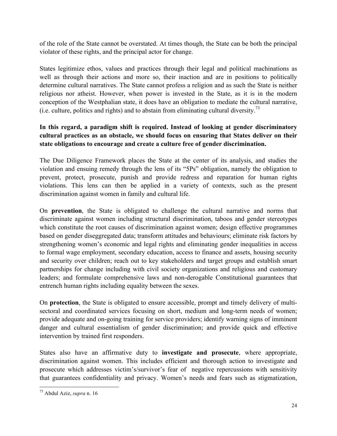of the role of the State cannot be overstated. At times though, the State can be both the principal violator of these rights, and the principal actor for change.

States legitimize ethos, values and practices through their legal and political machinations as well as through their actions and more so, their inaction and are in positions to politically determine cultural narratives. The State cannot profess a religion and as such the State is neither religious nor atheist. However, when power is invested in the State, as it is in the modern conception of the Westphalian state, it does have an obligation to mediate the cultural narrative, (i.e. culture, politics and rights) and to abstain from eliminating cultural diversity.<sup>73</sup>

# **In this regard, a paradigm shift is required. Instead of looking at gender discriminatory cultural practices as an obstacle, we should focus on ensuring that States deliver on their state obligations to encourage and create a culture free of gender discrimination.**

The Due Diligence Framework places the State at the center of its analysis, and studies the violation and ensuing remedy through the lens of its "5Ps" obligation, namely the obligation to prevent, protect, prosecute, punish and provide redress and reparation for human rights violations. This lens can then be applied in a variety of contexts, such as the present discrimination against women in family and cultural life.

On **prevention**, the State is obligated to challenge the cultural narrative and norms that discriminate against women including structural discrimination, taboos and gender stereotypes which constitute the root causes of discrimination against women; design effective programmes based on gender diseggregated data; transform attitudes and behaviours; eliminate risk factors by strengthening women's economic and legal rights and eliminating gender inequalities in access to formal wage employment, secondary education, access to finance and assets, housing security and security over children; reach out to key stakeholders and target groups and establish smart partnerships for change including with civil society organizations and religious and customary leaders; and formulate comprehensive laws and non-derogable Constitutional guarantees that entrench human rights including equality between the sexes.

On **protection**, the State is obligated to ensure accessible, prompt and timely delivery of multisectoral and coordinated services focusing on short, medium and long-term needs of women; provide adequate and on-going training for service providers; identify warning signs of imminent danger and cultural essentialism of gender discrimination; and provide quick and effective intervention by trained first responders.

States also have an affirmative duty to **investigate and prosecute**, where appropriate, discrimination against women. This includes efficient and thorough action to investigate and prosecute which addresses victim's/survivor's fear of negative repercussions with sensitivity that guarantees confidentiality and privacy. Women's needs and fears such as stigmatization,

<sup>73</sup> Abdul Aziz, *supra* n. 16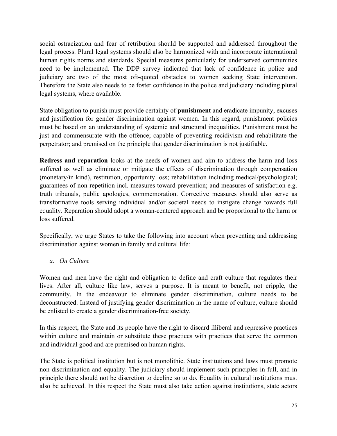social ostracization and fear of retribution should be supported and addressed throughout the legal process. Plural legal systems should also be harmonized with and incorporate international human rights norms and standards. Special measures particularly for underserved communities need to be implemented. The DDP survey indicated that lack of confidence in police and judiciary are two of the most oft-quoted obstacles to women seeking State intervention. Therefore the State also needs to be foster confidence in the police and judiciary including plural legal systems, where available.

State obligation to punish must provide certainty of **punishment** and eradicate impunity, excuses and justification for gender discrimination against women. In this regard, punishment policies must be based on an understanding of systemic and structural inequalities. Punishment must be just and commensurate with the offence; capable of preventing recidivism and rehabilitate the perpetrator; and premised on the principle that gender discrimination is not justifiable.

**Redress and reparation** looks at the needs of women and aim to address the harm and loss suffered as well as eliminate or mitigate the effects of discrimination through compensation (monetary/in kind), restitution, opportunity loss; rehabilitation including medical/psychological; guarantees of non-repetition incl. measures toward prevention; and measures of satisfaction e.g. truth tribunals, public apologies, commemoration. Corrective measures should also serve as transformative tools serving individual and/or societal needs to instigate change towards full equality. Reparation should adopt a woman-centered approach and be proportional to the harm or loss suffered.

Specifically, we urge States to take the following into account when preventing and addressing discrimination against women in family and cultural life:

#### *a. On Culture*

Women and men have the right and obligation to define and craft culture that regulates their lives. After all, culture like law, serves a purpose. It is meant to benefit, not cripple, the community. In the endeavour to eliminate gender discrimination, culture needs to be deconstructed. Instead of justifying gender discrimination in the name of culture, culture should be enlisted to create a gender discrimination-free society.

In this respect, the State and its people have the right to discard illiberal and repressive practices within culture and maintain or substitute these practices with practices that serve the common and individual good and are premised on human rights.

The State is political institution but is not monolithic. State institutions and laws must promote non-discrimination and equality. The judiciary should implement such principles in full, and in principle there should not be discretion to decline so to do. Equality in cultural institutions must also be achieved. In this respect the State must also take action against institutions, state actors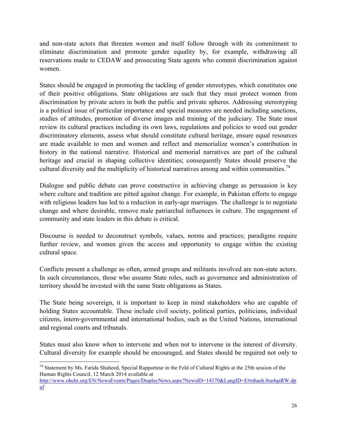and non-state actors that threaten women and itself follow through with its commitment to eliminate discrimination and promote gender equality by, for example, withdrawing all reservations made to CEDAW and prosecuting State agents who commit discrimination against women.

States should be engaged in promoting the tackling of gender stereotypes, which constitutes one of their positive obligations. State obligations are such that they must protect women from discrimination by private actors in both the public and private spheres. Addressing stereotyping is a political issue of particular importance and special measures are needed including sanctions, studies of attitudes, promotion of diverse images and training of the judiciary. The State must review its cultural practices including its own laws, regulations and policies to weed out gender discriminatory elements, assess what should constitute cultural heritage, ensure equal resources are made available to men and women and reflect and memorialize women's contribution in history in the national narrative. Historical and memorial narratives are part of the cultural heritage and crucial in shaping collective identities; consequently States should preserve the cultural diversity and the multiplicity of historical narratives among and within communities.<sup>74</sup>

Dialogue and public debate can prove constructive in achieving change as persuasion is key where culture and tradition are pitted against change. For example, in Pakistan efforts to engage with religious leaders has led to a reduction in early-age marriages. The challenge is to negotiate change and where desirable, remove male patriarchal influences in culture. The engagement of community and state leaders in this debate is critical.

Discourse is needed to deconstruct symbols, values, norms and practices; paradigms require further review, and women given the access and opportunity to engage within the existing cultural space.

Conflicts present a challenge as often, armed groups and militants involved are non-state actors. In such circumstances, those who assume State roles, such as governance and administration of territory should be invested with the same State obligations as States.

The State being sovereign, it is important to keep in mind stakeholders who are capable of holding States accountable. These include civil society, political parties, politicians, individual citizens, intern-governmental and international bodies, such as the United Nations, international and regional courts and tribunals.

States must also know when to intervene and when not to intervene in the interest of diversity. Cultural diversity for example should be encouraged, and States should be required not only to

<sup>!!!!!!!!!!!!!!!!!!!!!!!!!!!!!!!!!!!!!!!!!!!!!!!!!!!!!!!!!!!!</sup>  $74$  Statement by Ms. Farida Shaheed, Special Rapporteur in the Feld of Cultural Rights at the 25th session of the Human Rights Council, 12 March 2014 available at

http://www.ohchr.org/EN/NewsEvents/Pages/DisplayNews.aspx?NewsID=14370&LangID=E#sthash.0sa4qsRW.dp uf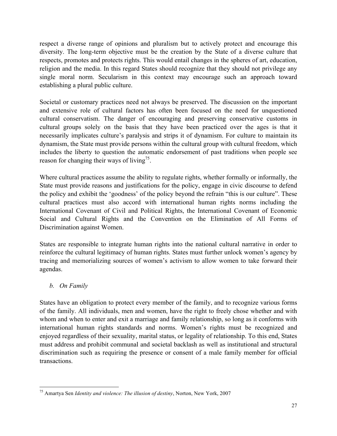respect a diverse range of opinions and pluralism but to actively protect and encourage this diversity. The long-term objective must be the creation by the State of a diverse culture that respects, promotes and protects rights. This would entail changes in the spheres of art, education, religion and the media. In this regard States should recognize that they should not privilege any single moral norm. Secularism in this context may encourage such an approach toward establishing a plural public culture.

Societal or customary practices need not always be preserved. The discussion on the important and extensive role of cultural factors has often been focused on the need for unquestioned cultural conservatism. The danger of encouraging and preserving conservative customs in cultural groups solely on the basis that they have been practiced over the ages is that it necessarily implicates culture's paralysis and strips it of dynamism. For culture to maintain its dynamism, the State must provide persons within the cultural group with cultural freedom, which includes the liberty to question the automatic endorsement of past traditions when people see reason for changing their ways of living<sup>75</sup>.

Where cultural practices assume the ability to regulate rights, whether formally or informally, the State must provide reasons and justifications for the policy, engage in civic discourse to defend the policy and exhibit the 'goodness' of the policy beyond the refrain "this is our culture". These cultural practices must also accord with international human rights norms including the International Covenant of Civil and Political Rights, the International Covenant of Economic Social and Cultural Rights and the Convention on the Elimination of All Forms of Discrimination against Women.

States are responsible to integrate human rights into the national cultural narrative in order to reinforce the cultural legitimacy of human rights. States must further unlock women's agency by tracing and memorializing sources of women's activism to allow women to take forward their agendas.

## *b. On Family*

!!!!!!!!!!!!!!!!!!!!!!!!!!!!!!!!!!!!!!!!!!!!!!!!!!!!!!!!!!!!

States have an obligation to protect every member of the family, and to recognize various forms of the family. All individuals, men and women, have the right to freely chose whether and with whom and when to enter and exit a marriage and family relationship, so long as it conforms with international human rights standards and norms. Women's rights must be recognized and enjoyed regardless of their sexuality, marital status, or legality of relationship. To this end, States must address and prohibit communal and societal backlash as well as institutional and structural discrimination such as requiring the presence or consent of a male family member for official transactions.

<sup>75</sup> Amartya Sen *Identity and violence: The illusion of destiny*, Norton, New York, 2007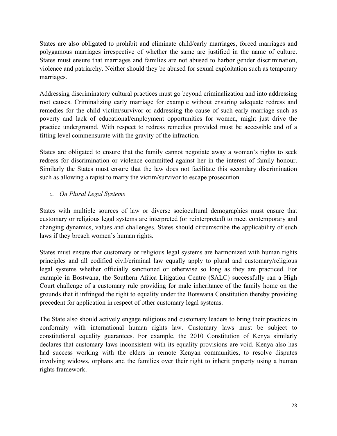States are also obligated to prohibit and eliminate child/early marriages, forced marriages and polygamous marriages irrespective of whether the same are justified in the name of culture. States must ensure that marriages and families are not abused to harbor gender discrimination, violence and patriarchy. Neither should they be abused for sexual exploitation such as temporary marriages.

Addressing discriminatory cultural practices must go beyond criminalization and into addressing root causes. Criminalizing early marriage for example without ensuring adequate redress and remedies for the child victim/survivor or addressing the cause of such early marriage such as poverty and lack of educational/employment opportunities for women, might just drive the practice underground. With respect to redress remedies provided must be accessible and of a fitting level commensurate with the gravity of the infraction.

States are obligated to ensure that the family cannot negotiate away a woman's rights to seek redress for discrimination or violence committed against her in the interest of family honour. Similarly the States must ensure that the law does not facilitate this secondary discrimination such as allowing a rapist to marry the victim/survivor to escape prosecution.

#### *c. On Plural Legal Systems*

States with multiple sources of law or diverse sociocultural demographics must ensure that customary or religious legal systems are interpreted (or reinterpreted) to meet contemporary and changing dynamics, values and challenges. States should circumscribe the applicability of such laws if they breach women's human rights.

States must ensure that customary or religious legal systems are harmonized with human rights principles and all codified civil/criminal law equally apply to plural and customary/religious legal systems whether officially sanctioned or otherwise so long as they are practiced. For example in Bostwana, the Southern Africa Litigation Centre (SALC) successfully ran a High Court challenge of a customary rule providing for male inheritance of the family home on the grounds that it infringed the right to equality under the Botswana Constitution thereby providing precedent for application in respect of other customary legal systems.

The State also should actively engage religious and customary leaders to bring their practices in conformity with international human rights law. Customary laws must be subject to constitutional equality guarantees. For example, the 2010 Constitution of Kenya similarly declares that customary laws inconsistent with its equality provisions are void. Kenya also has had success working with the elders in remote Kenyan communities, to resolve disputes involving widows, orphans and the families over their right to inherit property using a human rights framework.